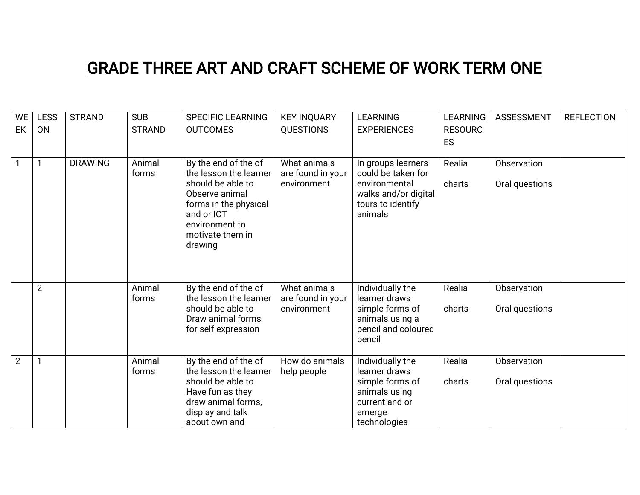## GRADE THREE ART AND CRAFT SCHEME OF WORK TERM ONE

| WE             | <b>LESS</b>    | <b>STRAND</b>  | <b>SUB</b>      | <b>SPECIFIC LEARNING</b>                                                                                                    | <b>KEY INQUARY</b>                | <b>LEARNING</b>                                                       | <b>LEARNING</b> | <b>ASSESSMENT</b> | <b>REFLECTION</b> |
|----------------|----------------|----------------|-----------------|-----------------------------------------------------------------------------------------------------------------------------|-----------------------------------|-----------------------------------------------------------------------|-----------------|-------------------|-------------------|
| EK             | ON             |                | <b>STRAND</b>   | <b>OUTCOMES</b>                                                                                                             | <b>QUESTIONS</b>                  | <b>EXPERIENCES</b>                                                    | <b>RESOURC</b>  |                   |                   |
|                |                |                |                 |                                                                                                                             |                                   |                                                                       | <b>ES</b>       |                   |                   |
|                |                |                |                 |                                                                                                                             |                                   |                                                                       |                 |                   |                   |
|                |                | <b>DRAWING</b> | Animal<br>forms | By the end of the of<br>the lesson the learner                                                                              | What animals<br>are found in your | In groups learners<br>could be taken for                              | Realia          | Observation       |                   |
|                |                |                |                 | should be able to<br>Observe animal<br>forms in the physical<br>and or ICT<br>environment to<br>motivate them in<br>drawing | environment                       | environmental<br>walks and/or digital<br>tours to identify<br>animals | charts          | Oral questions    |                   |
|                | $\overline{2}$ |                | Animal          | By the end of the of                                                                                                        | What animals                      | Individually the                                                      | Realia          | Observation       |                   |
|                |                |                | forms           | the lesson the learner                                                                                                      | are found in your                 | learner draws                                                         |                 |                   |                   |
|                |                |                |                 | should be able to<br>Draw animal forms                                                                                      | environment                       | simple forms of<br>animals using a                                    | charts          | Oral questions    |                   |
|                |                |                |                 | for self expression                                                                                                         |                                   | pencil and coloured<br>pencil                                         |                 |                   |                   |
| $\overline{2}$ |                |                | Animal          | By the end of the of                                                                                                        | How do animals                    | Individually the                                                      | Realia          | Observation       |                   |
|                |                |                | forms           | the lesson the learner                                                                                                      | help people                       | learner draws                                                         |                 |                   |                   |
|                |                |                |                 | should be able to                                                                                                           |                                   | simple forms of                                                       | charts          | Oral questions    |                   |
|                |                |                |                 | Have fun as they<br>draw animal forms,                                                                                      |                                   | animals using<br>current and or                                       |                 |                   |                   |
|                |                |                |                 | display and talk                                                                                                            |                                   | emerge                                                                |                 |                   |                   |
|                |                |                |                 | about own and                                                                                                               |                                   | technologies                                                          |                 |                   |                   |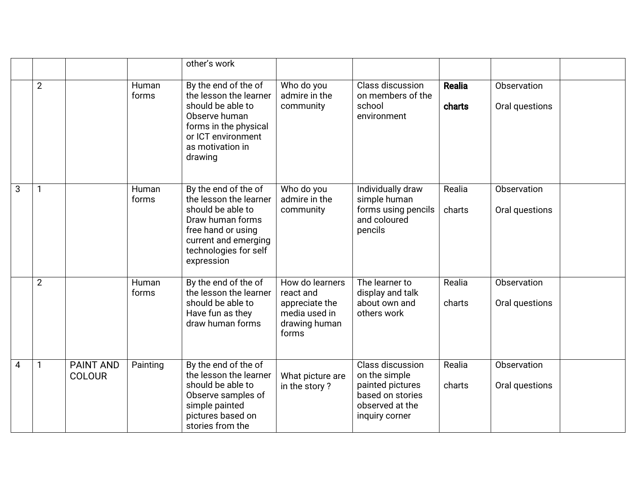|                |                |                                   |                | other's work                                                                                                                                                                 |                                                                                           |                                                                                                                       |                         |                               |
|----------------|----------------|-----------------------------------|----------------|------------------------------------------------------------------------------------------------------------------------------------------------------------------------------|-------------------------------------------------------------------------------------------|-----------------------------------------------------------------------------------------------------------------------|-------------------------|-------------------------------|
|                | $\overline{2}$ |                                   | Human<br>forms | By the end of the of<br>the lesson the learner<br>should be able to<br>Observe human<br>forms in the physical<br>or ICT environment<br>as motivation in<br>drawing           | Who do you<br>admire in the<br>community                                                  | <b>Class discussion</b><br>on members of the<br>school<br>environment                                                 | <b>Realia</b><br>charts | Observation<br>Oral questions |
| 3              | $\mathbf{1}$   |                                   | Human<br>forms | By the end of the of<br>the lesson the learner<br>should be able to<br>Draw human forms<br>free hand or using<br>current and emerging<br>technologies for self<br>expression | Who do you<br>admire in the<br>community                                                  | Individually draw<br>simple human<br>forms using pencils<br>and coloured<br>pencils                                   | Realia<br>charts        | Observation<br>Oral questions |
|                | $\overline{2}$ |                                   | Human<br>forms | By the end of the of<br>the lesson the learner<br>should be able to<br>Have fun as they<br>draw human forms                                                                  | How do learners<br>react and<br>appreciate the<br>media used in<br>drawing human<br>forms | The learner to<br>display and talk<br>about own and<br>others work                                                    | Realia<br>charts        | Observation<br>Oral questions |
| $\overline{4}$ | $\mathbf{1}$   | <b>PAINT AND</b><br><b>COLOUR</b> | Painting       | By the end of the of<br>the lesson the learner<br>should be able to<br>Observe samples of<br>simple painted<br>pictures based on<br>stories from the                         | What picture are<br>in the story?                                                         | <b>Class discussion</b><br>on the simple<br>painted pictures<br>based on stories<br>observed at the<br>inquiry corner | Realia<br>charts        | Observation<br>Oral questions |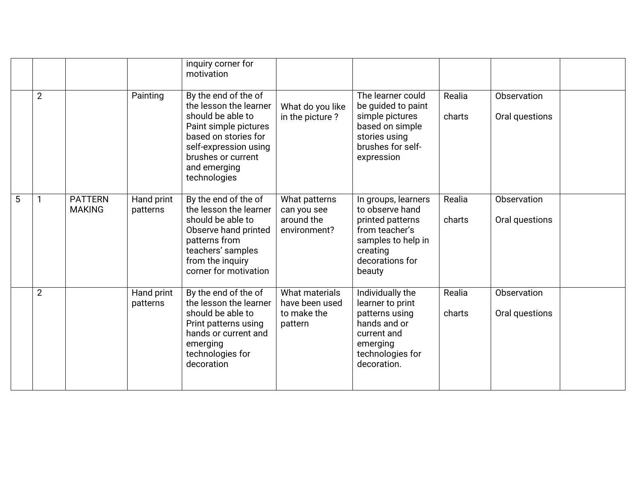|   |                |                                 |                        | inquiry corner for<br>motivation                                                                                                                                                                    |                                                            |                                                                                                                                             |                  |                               |  |
|---|----------------|---------------------------------|------------------------|-----------------------------------------------------------------------------------------------------------------------------------------------------------------------------------------------------|------------------------------------------------------------|---------------------------------------------------------------------------------------------------------------------------------------------|------------------|-------------------------------|--|
|   | $\overline{2}$ |                                 | Painting               | By the end of the of<br>the lesson the learner<br>should be able to<br>Paint simple pictures<br>based on stories for<br>self-expression using<br>brushes or current<br>and emerging<br>technologies | What do you like<br>in the picture?                        | The learner could<br>be guided to paint<br>simple pictures<br>based on simple<br>stories using<br>brushes for self-<br>expression           | Realia<br>charts | Observation<br>Oral questions |  |
| 5 |                | <b>PATTERN</b><br><b>MAKING</b> | Hand print<br>patterns | By the end of the of<br>the lesson the learner<br>should be able to<br>Observe hand printed<br>patterns from<br>teachers' samples<br>from the inquiry<br>corner for motivation                      | What patterns<br>can you see<br>around the<br>environment? | In groups, learners<br>to observe hand<br>printed patterns<br>from teacher's<br>samples to help in<br>creating<br>decorations for<br>beauty | Realia<br>charts | Observation<br>Oral questions |  |
|   | $\overline{2}$ |                                 | Hand print<br>patterns | By the end of the of<br>the lesson the learner<br>should be able to<br>Print patterns using<br>hands or current and<br>emerging<br>technologies for<br>decoration                                   | What materials<br>have been used<br>to make the<br>pattern | Individually the<br>learner to print<br>patterns using<br>hands and or<br>current and<br>emerging<br>technologies for<br>decoration.        | Realia<br>charts | Observation<br>Oral questions |  |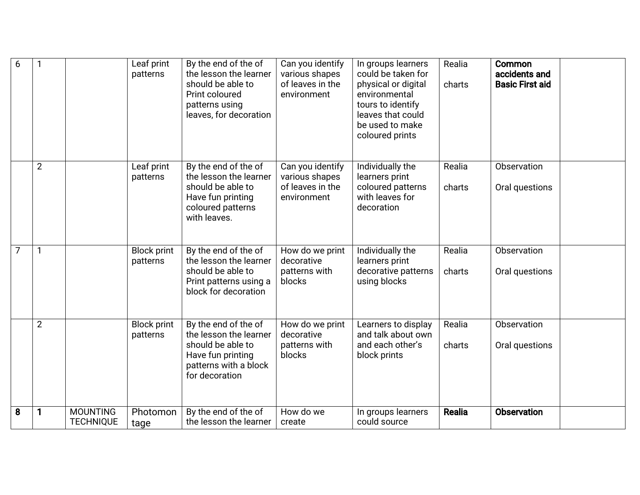| 6 | -1             |                                     | Leaf print<br>patterns         | By the end of the of<br>the lesson the learner<br>should be able to<br>Print coloured<br>patterns using<br>leaves, for decoration   | Can you identify<br>various shapes<br>of leaves in the<br>environment | In groups learners<br>could be taken for<br>physical or digital<br>environmental<br>tours to identify<br>leaves that could<br>be used to make<br>coloured prints | Realia<br>charts | Common<br>accidents and<br><b>Basic First aid</b> |  |
|---|----------------|-------------------------------------|--------------------------------|-------------------------------------------------------------------------------------------------------------------------------------|-----------------------------------------------------------------------|------------------------------------------------------------------------------------------------------------------------------------------------------------------|------------------|---------------------------------------------------|--|
|   | $\overline{2}$ |                                     | Leaf print<br>patterns         | By the end of the of<br>the lesson the learner<br>should be able to<br>Have fun printing<br>coloured patterns<br>with leaves.       | Can you identify<br>various shapes<br>of leaves in the<br>environment | Individually the<br>learners print<br>coloured patterns<br>with leaves for<br>decoration                                                                         | Realia<br>charts | Observation<br>Oral questions                     |  |
| 7 | $\mathbf{1}$   |                                     | <b>Block print</b><br>patterns | By the end of the of<br>the lesson the learner<br>should be able to<br>Print patterns using a<br>block for decoration               | How do we print<br>decorative<br>patterns with<br>blocks              | Individually the<br>learners print<br>decorative patterns<br>using blocks                                                                                        | Realia<br>charts | Observation<br>Oral questions                     |  |
|   | $\overline{2}$ |                                     | <b>Block print</b><br>patterns | By the end of the of<br>the lesson the learner<br>should be able to<br>Have fun printing<br>patterns with a block<br>for decoration | How do we print<br>decorative<br>patterns with<br>blocks              | Learners to display<br>and talk about own<br>and each other's<br>block prints                                                                                    | Realia<br>charts | Observation<br>Oral questions                     |  |
| 8 | 1              | <b>MOUNTING</b><br><b>TECHNIQUE</b> | Photomon<br>tage               | By the end of the of<br>the lesson the learner                                                                                      | How do we<br>create                                                   | In groups learners<br>could source                                                                                                                               | <b>Realia</b>    | <b>Observation</b>                                |  |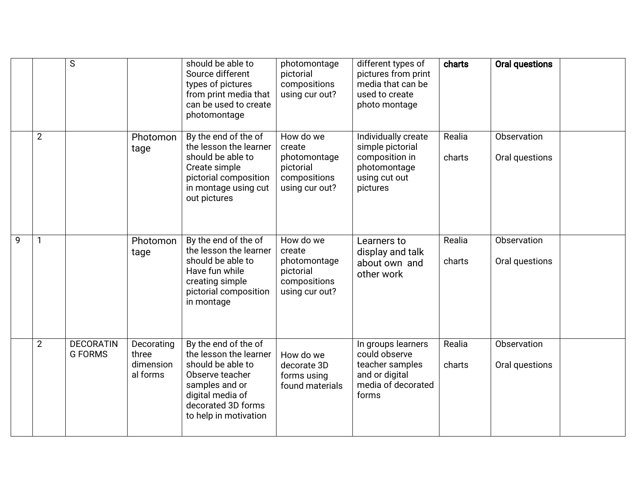|   |                | S                                  |                                              | should be able to<br>Source different<br>types of pictures<br>from print media that<br>can be used to create<br>photomontage                                                | photomontage<br>pictorial<br>compositions<br>using cur out?                        | different types of<br>pictures from print<br>media that can be<br>used to create<br>photo montage       | charts           | <b>Oral questions</b>         |  |
|---|----------------|------------------------------------|----------------------------------------------|-----------------------------------------------------------------------------------------------------------------------------------------------------------------------------|------------------------------------------------------------------------------------|---------------------------------------------------------------------------------------------------------|------------------|-------------------------------|--|
|   | $\overline{2}$ |                                    | Photomon<br>tage                             | By the end of the of<br>the lesson the learner<br>should be able to<br>Create simple<br>pictorial composition<br>in montage using cut<br>out pictures                       | How do we<br>create<br>photomontage<br>pictorial<br>compositions<br>using cur out? | Individually create<br>simple pictorial<br>composition in<br>photomontage<br>using cut out<br>pictures  | Realia<br>charts | Observation<br>Oral questions |  |
| 9 | 1              |                                    | Photomon<br>tage                             | By the end of the of<br>the lesson the learner<br>should be able to<br>Have fun while<br>creating simple<br>pictorial composition<br>in montage                             | How do we<br>create<br>photomontage<br>pictorial<br>compositions<br>using cur out? | Learners to<br>display and talk<br>about own and<br>other work                                          | Realia<br>charts | Observation<br>Oral questions |  |
|   | $\overline{2}$ | <b>DECORATIN</b><br><b>G FORMS</b> | Decorating<br>three<br>dimension<br>al forms | By the end of the of<br>the lesson the learner<br>should be able to<br>Observe teacher<br>samples and or<br>digital media of<br>decorated 3D forms<br>to help in motivation | How do we<br>decorate 3D<br>forms using<br>found materials                         | In groups learners<br>could observe<br>teacher samples<br>and or digital<br>media of decorated<br>forms | Realia<br>charts | Observation<br>Oral questions |  |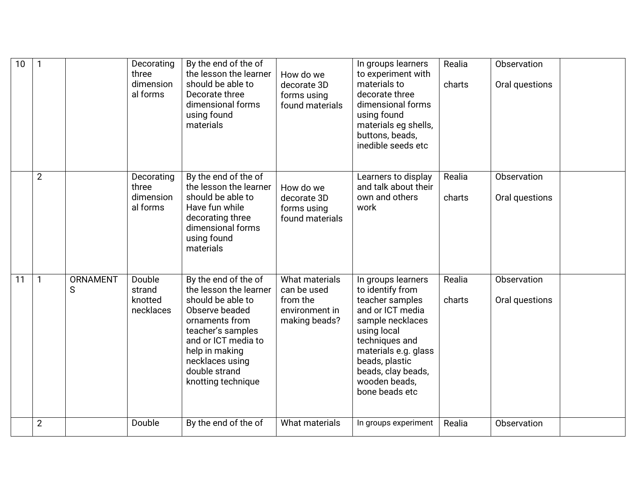| 10 | $\mathbf{1}$   |                      | Decorating<br>three<br>dimension<br>al forms | By the end of the of<br>the lesson the learner<br>should be able to<br>Decorate three<br>dimensional forms<br>using found<br>materials                                                                                          | How do we<br>decorate 3D<br>forms using<br>found materials                   | In groups learners<br>to experiment with<br>materials to<br>decorate three<br>dimensional forms<br>using found<br>materials eg shells,<br>buttons, beads,<br>inedible seeds etc                                                       | Realia<br>charts | Observation<br>Oral questions |  |
|----|----------------|----------------------|----------------------------------------------|---------------------------------------------------------------------------------------------------------------------------------------------------------------------------------------------------------------------------------|------------------------------------------------------------------------------|---------------------------------------------------------------------------------------------------------------------------------------------------------------------------------------------------------------------------------------|------------------|-------------------------------|--|
|    | $\overline{2}$ |                      | Decorating<br>three<br>dimension<br>al forms | By the end of the of<br>the lesson the learner<br>should be able to<br>Have fun while<br>decorating three<br>dimensional forms<br>using found<br>materials                                                                      | How do we<br>decorate 3D<br>forms using<br>found materials                   | Learners to display<br>and talk about their<br>own and others<br>work                                                                                                                                                                 | Realia<br>charts | Observation<br>Oral questions |  |
| 11 | $\mathbf{1}$   | <b>ORNAMENT</b><br>S | Double<br>strand<br>knotted<br>necklaces     | By the end of the of<br>the lesson the learner<br>should be able to<br>Observe beaded<br>ornaments from<br>teacher's samples<br>and or ICT media to<br>help in making<br>necklaces using<br>double strand<br>knotting technique | What materials<br>can be used<br>from the<br>environment in<br>making beads? | In groups learners<br>to identify from<br>teacher samples<br>and or ICT media<br>sample necklaces<br>using local<br>techniques and<br>materials e.g. glass<br>beads, plastic<br>beads, clay beads,<br>wooden beads,<br>bone beads etc | Realia<br>charts | Observation<br>Oral questions |  |
|    | $\overline{2}$ |                      | Double                                       | By the end of the of                                                                                                                                                                                                            | What materials                                                               | In groups experiment                                                                                                                                                                                                                  | Realia           | Observation                   |  |